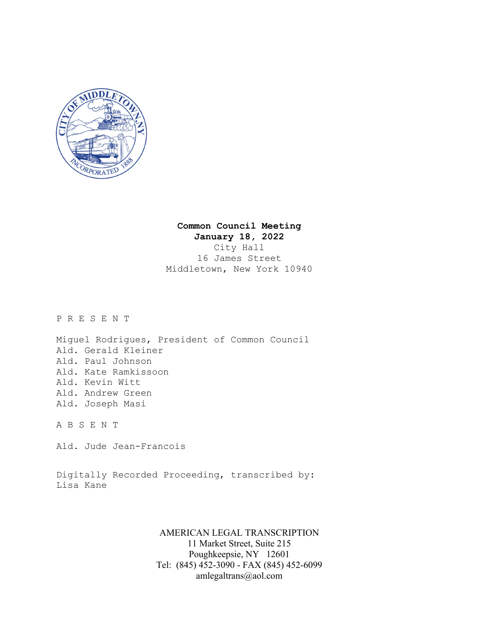

# **Common Council Meeting**

**January 18, 2022**  City Hall 16 James Street Middletown, New York 10940

P R E S E N T

Miguel Rodrigues, President of Common Council Ald. Gerald Kleiner Ald. Paul Johnson Ald. Kate Ramkissoon Ald. Kevin Witt Ald. Andrew Green Ald. Joseph Masi

A B S E N T

Ald. Jude Jean-Francois

Digitally Recorded Proceeding, transcribed by: Lisa Kane

> AMERICAN LEGAL TRANSCRIPTION 11 Market Street, Suite 215 Poughkeepsie, NY 12601 Tel: (845) 452-3090 - FAX (845) 452-6099 amlegaltrans@aol.com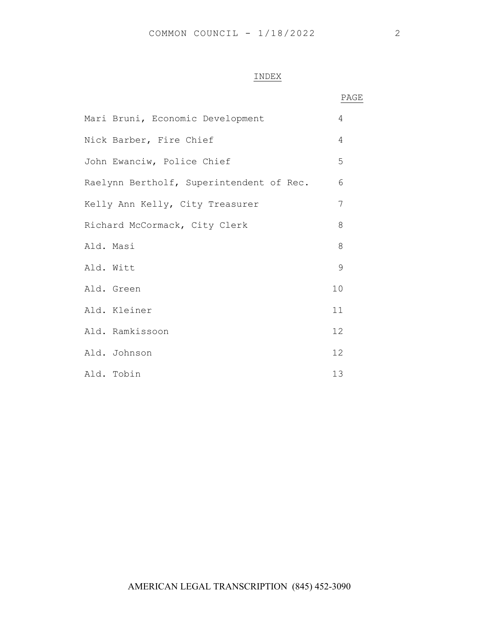## INDEX

|                                          | PAGE |
|------------------------------------------|------|
| Mari Bruni, Economic Development         | 4    |
| Nick Barber, Fire Chief                  | 4    |
| John Ewanciw, Police Chief               | 5    |
| Raelynn Bertholf, Superintendent of Rec. | 6    |
| Kelly Ann Kelly, City Treasurer          | 7    |
| Richard McCormack, City Clerk            | 8    |
| Ald. Masi                                | 8    |
| Ald. Witt                                | 9    |
| Ald. Green                               | 10   |
| Ald. Kleiner                             | 11   |
| Ald. Ramkissoon                          | 12   |
| Ald. Johnson                             | 12   |
| Ald. Tobin                               | 13   |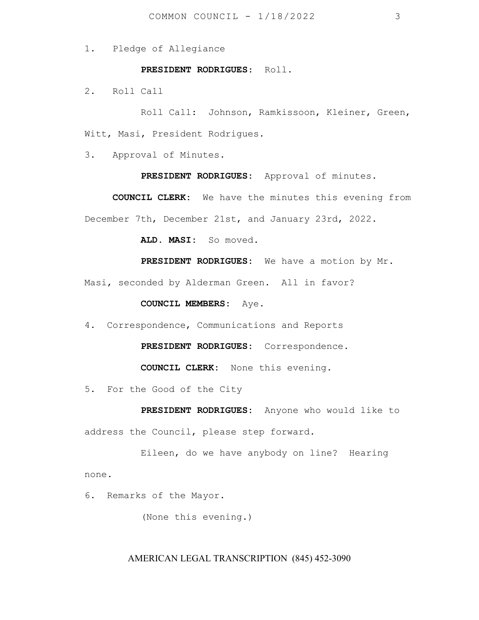1. Pledge of Allegiance

#### **PRESIDENT RODRIGUES**: Roll.

2. Roll Call

Roll Call: Johnson, Ramkissoon, Kleiner, Green, Witt, Masi, President Rodrigues.

3. Approval of Minutes.

**PRESIDENT RODRIGUES:** Approval of minutes.

**COUNCIL CLERK:** We have the minutes this evening from December 7th, December 21st, and January 23rd, 2022.

 **ALD. MASI:** So moved.

 **PRESIDENT RODRIGUES:** We have a motion by Mr.

Masi, seconded by Alderman Green. All in favor?

#### **COUNCIL MEMBERS:** Aye.

4. Correspondence, Communications and Reports

**PRESIDENT RODRIGUES:** Correspondence.

**COUNCIL CLERK:** None this evening.

5. For the Good of the City

 **PRESIDENT RODRIGUES:** Anyone who would like to address the Council, please step forward.

Eileen, do we have anybody on line? Hearing none.

6**.** Remarks of the Mayor.

(None this evening.)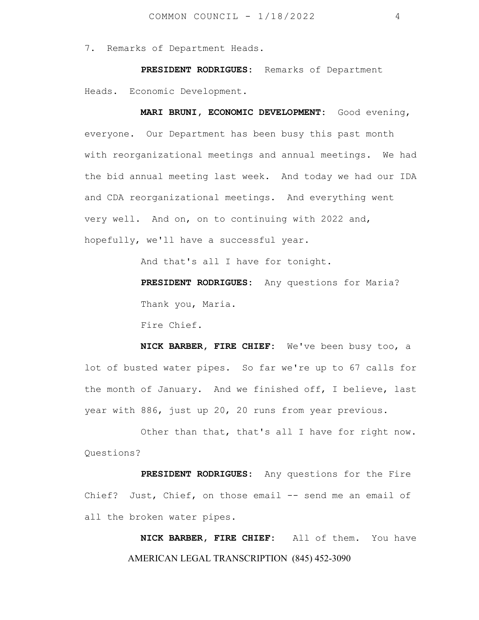7**.** Remarks of Department Heads.

 **PRESIDENT RODRIGUES:** Remarks of Department Heads. Economic Development.

 **MARI BRUNI, ECONOMIC DEVELOPMENT:** Good evening, everyone. Our Department has been busy this past month with reorganizational meetings and annual meetings. We had the bid annual meeting last week. And today we had our IDA and CDA reorganizational meetings. And everything went very well. And on, on to continuing with 2022 and, hopefully, we'll have a successful year.

And that's all I have for tonight.

 **PRESIDENT RODRIGUES:** Any questions for Maria? Thank you, Maria.

Fire Chief.

 **NICK BARBER, FIRE CHIEF:** We've been busy too, a lot of busted water pipes. So far we're up to 67 calls for the month of January. And we finished off, I believe, last year with 886, just up 20, 20 runs from year previous.

Other than that, that's all I have for right now. Questions?

 **PRESIDENT RODRIGUES:** Any questions for the Fire Chief? Just, Chief, on those email -- send me an email of all the broken water pipes.

> AMERICAN LEGAL TRANSCRIPTION (845) 452-3090  **NICK BARBER, FIRE CHIEF:** All of them. You have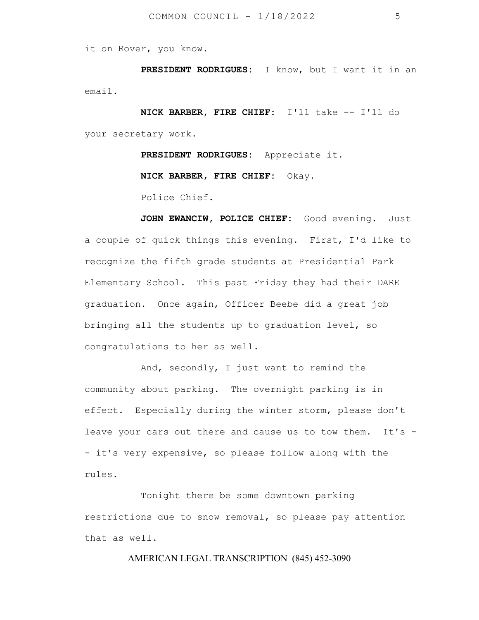it on Rover, you know.

 **PRESIDENT RODRIGUES:** I know, but I want it in an email.

 **NICK BARBER, FIRE CHIEF:** I'll take -- I'll do your secretary work.

 **PRESIDENT RODRIGUES:** Appreciate it.

 **NICK BARBER, FIRE CHIEF:** Okay.

Police Chief.

JOHN EWANCIW, POLICE CHIEF: Good evening. Just a couple of quick things this evening. First, I'd like to recognize the fifth grade students at Presidential Park Elementary School. This past Friday they had their DARE graduation. Once again, Officer Beebe did a great job bringing all the students up to graduation level, so congratulations to her as well.

And, secondly, I just want to remind the community about parking. The overnight parking is in effect. Especially during the winter storm, please don't leave your cars out there and cause us to tow them. It's -- it's very expensive, so please follow along with the rules.

 Tonight there be some downtown parking restrictions due to snow removal, so please pay attention that as well.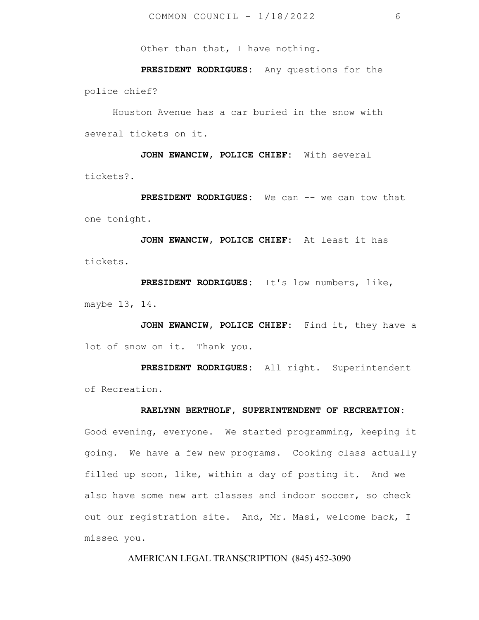Other than that, I have nothing.

 **PRESIDENT RODRIGUES:** Any questions for the police chief?

Houston Avenue has a car buried in the snow with several tickets on it.

 **JOHN EWANCIW, POLICE CHIEF:** With several tickets?.

 **PRESIDENT RODRIGUES:** We can -- we can tow that one tonight.

 **JOHN EWANCIW, POLICE CHIEF:** At least it has tickets.

 **PRESIDENT RODRIGUES:** It's low numbers, like, maybe 13, 14.

JOHN EWANCIW, POLICE CHIEF: Find it, they have a lot of snow on it. Thank you.

 **PRESIDENT RODRIGUES:** All right. Superintendent of Recreation.

#### **RAELYNN BERTHOLF, SUPERINTENDENT OF RECREATION:**

Good evening, everyone. We started programming, keeping it going. We have a few new programs. Cooking class actually filled up soon, like, within a day of posting it. And we also have some new art classes and indoor soccer, so check out our registration site. And, Mr. Masi, welcome back, I missed you.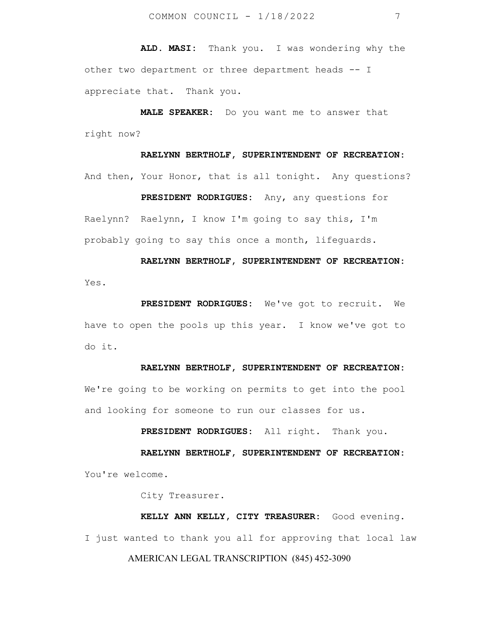**ALD. MASI:** Thank you. I was wondering why the other two department or three department heads -- I appreciate that. Thank you.

 **MALE SPEAKER:** Do you want me to answer that right now?

# **RAELYNN BERTHOLF, SUPERINTENDENT OF RECREATION:**  And then, Your Honor, that is all tonight. Any questions?

 **PRESIDENT RODRIGUES:** Any, any questions for Raelynn? Raelynn, I know I'm going to say this, I'm probably going to say this once a month, lifeguards.

 **RAELYNN BERTHOLF, SUPERINTENDENT OF RECREATION:**  Yes.

 **PRESIDENT RODRIGUES:** We've got to recruit. We have to open the pools up this year. I know we've got to do it.

#### **RAELYNN BERTHOLF, SUPERINTENDENT OF RECREATION:**

We're going to be working on permits to get into the pool and looking for someone to run our classes for us.

**PRESIDENT RODRIGUES:** All right. Thank you.

 **RAELYNN BERTHOLF, SUPERINTENDENT OF RECREATION:**  You're welcome.

City Treasurer.

AMERICAN LEGAL TRANSCRIPTION (845) 452-3090 **KELLY ANN KELLY, CITY TREASURER:** Good evening. I just wanted to thank you all for approving that local law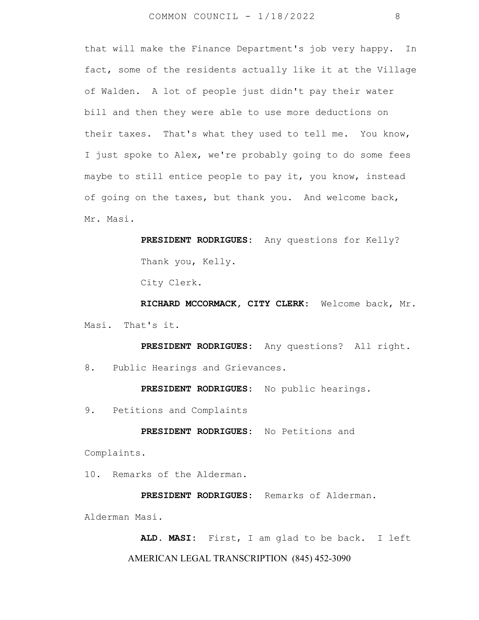that will make the Finance Department's job very happy. In fact, some of the residents actually like it at the Village of Walden. A lot of people just didn't pay their water bill and then they were able to use more deductions on their taxes. That's what they used to tell me. You know, I just spoke to Alex, we're probably going to do some fees maybe to still entice people to pay it, you know, instead of going on the taxes, but thank you. And welcome back, Mr. Masi.

> **PRESIDENT RODRIGUES:** Any questions for Kelly? Thank you, Kelly.

City Clerk.

 **RICHARD MCCORMACK, CITY CLERK:** Welcome back, Mr. Masi. That's it.

 **PRESIDENT RODRIGUES:** Any questions? All right. 8. Public Hearings and Grievances.

**PRESIDENT RODRIGUES:** No public hearings.

9. Petitions and Complaints

**PRESIDENT RODRIGUES:** No Petitions and

Complaints.

10. Remarks of the Alderman.

 **PRESIDENT RODRIGUES:** Remarks of Alderman. Alderman Masi.

AMERICAN LEGAL TRANSCRIPTION (845) 452-3090  **ALD. MASI:** First, I am glad to be back. I left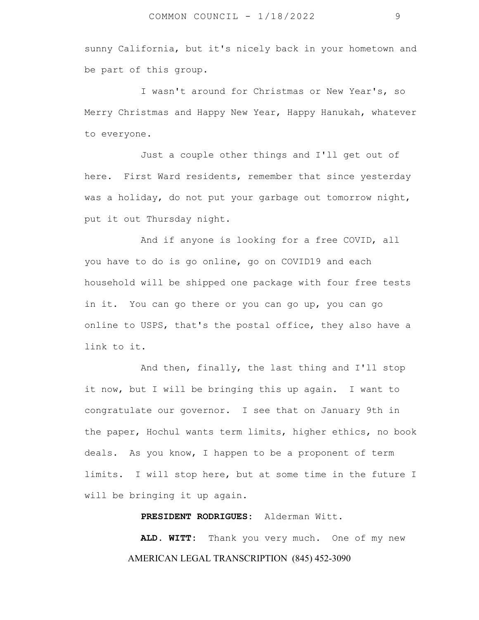sunny California, but it's nicely back in your hometown and be part of this group.

I wasn't around for Christmas or New Year's, so Merry Christmas and Happy New Year, Happy Hanukah, whatever to everyone.

 Just a couple other things and I'll get out of here. First Ward residents, remember that since yesterday was a holiday, do not put your garbage out tomorrow night, put it out Thursday night.

 And if anyone is looking for a free COVID, all you have to do is go online, go on COVID19 and each household will be shipped one package with four free tests in it. You can go there or you can go up, you can go online to USPS, that's the postal office, they also have a link to it.

 And then, finally, the last thing and I'll stop it now, but I will be bringing this up again. I want to congratulate our governor. I see that on January 9th in the paper, Hochul wants term limits, higher ethics, no book deals. As you know, I happen to be a proponent of term limits. I will stop here, but at some time in the future I will be bringing it up again.

 **PRESIDENT RODRIGUES:** Alderman Witt.

AMERICAN LEGAL TRANSCRIPTION (845) 452-3090  **ALD. WITT:** Thank you very much. One of my new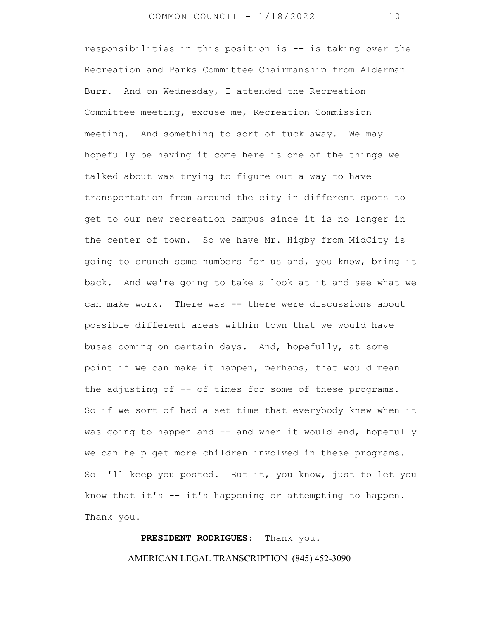responsibilities in this position is -- is taking over the Recreation and Parks Committee Chairmanship from Alderman Burr. And on Wednesday, I attended the Recreation Committee meeting, excuse me, Recreation Commission meeting. And something to sort of tuck away. We may hopefully be having it come here is one of the things we talked about was trying to figure out a way to have transportation from around the city in different spots to get to our new recreation campus since it is no longer in the center of town. So we have Mr. Higby from MidCity is going to crunch some numbers for us and, you know, bring it back. And we're going to take a look at it and see what we can make work. There was -- there were discussions about possible different areas within town that we would have buses coming on certain days. And, hopefully, at some point if we can make it happen, perhaps, that would mean the adjusting of -- of times for some of these programs. So if we sort of had a set time that everybody knew when it was going to happen and -- and when it would end, hopefully we can help get more children involved in these programs. So I'll keep you posted. But it, you know, just to let you know that it's  $-$  it's happening or attempting to happen. Thank you.

> AMERICAN LEGAL TRANSCRIPTION (845) 452-3090  **PRESIDENT RODRIGUES:** Thank you.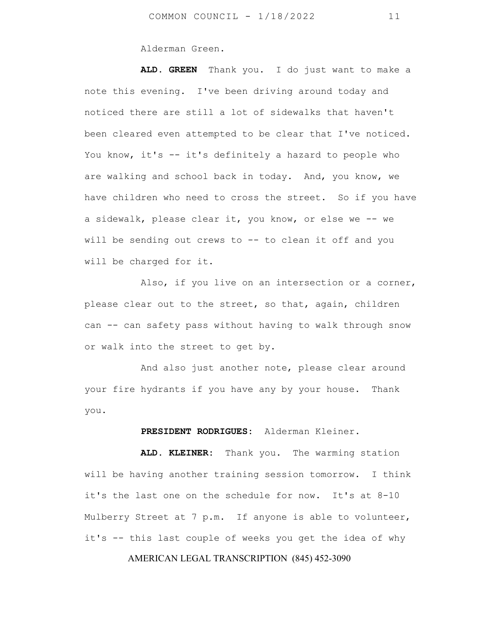Alderman Green.

 **ALD. GREEN** Thank you. I do just want to make a note this evening. I've been driving around today and noticed there are still a lot of sidewalks that haven't been cleared even attempted to be clear that I've noticed. You know, it's -- it's definitely a hazard to people who are walking and school back in today. And, you know, we have children who need to cross the street. So if you have a sidewalk, please clear it, you know, or else we -- we will be sending out crews to -- to clean it off and you will be charged for it.

 Also, if you live on an intersection or a corner, please clear out to the street, so that, again, children can -- can safety pass without having to walk through snow or walk into the street to get by.

 And also just another note, please clear around your fire hydrants if you have any by your house. Thank you.

#### **PRESIDENT RODRIGUES:** Alderman Kleiner.

 **ALD. KLEINER:** Thank you. The warming station will be having another training session tomorrow. I think it's the last one on the schedule for now. It's at 8-10 Mulberry Street at 7 p.m. If anyone is able to volunteer, it's -- this last couple of weeks you get the idea of why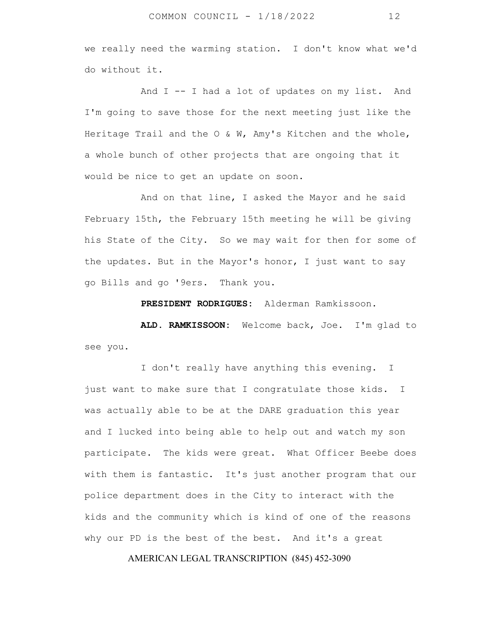we really need the warming station. I don't know what we'd do without it.

And I -- I had a lot of updates on my list. And I'm going to save those for the next meeting just like the Heritage Trail and the  $O \& W$ , Amy's Kitchen and the whole, a whole bunch of other projects that are ongoing that it would be nice to get an update on soon.

 And on that line, I asked the Mayor and he said February 15th, the February 15th meeting he will be giving his State of the City. So we may wait for then for some of the updates. But in the Mayor's honor, I just want to say go Bills and go '9ers. Thank you.

**PRESIDENT RODRIGUES:** Alderman Ramkissoon.

 **ALD. RAMKISSOON:** Welcome back, Joe. I'm glad to see you.

I don't really have anything this evening. I just want to make sure that I congratulate those kids. I was actually able to be at the DARE graduation this year and I lucked into being able to help out and watch my son participate. The kids were great. What Officer Beebe does with them is fantastic. It's just another program that our police department does in the City to interact with the kids and the community which is kind of one of the reasons why our PD is the best of the best. And it's a great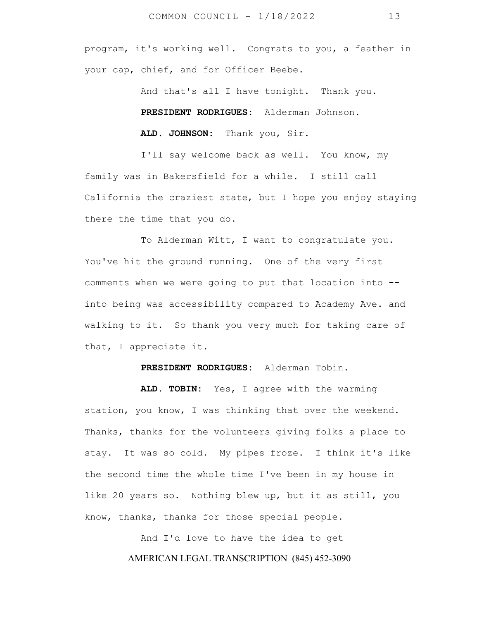program, it's working well. Congrats to you, a feather in your cap, chief, and for Officer Beebe.

And that's all I have tonight. Thank you.

**PRESIDENT RODRIGUES:** Alderman Johnson.

 **ALD. JOHNSON:** Thank you, Sir.

I'll say welcome back as well. You know, my family was in Bakersfield for a while. I still call California the craziest state, but I hope you enjoy staying there the time that you do.

 To Alderman Witt, I want to congratulate you. You've hit the ground running. One of the very first comments when we were going to put that location into - into being was accessibility compared to Academy Ave. and walking to it. So thank you very much for taking care of that, I appreciate it.

**PRESIDENT RODRIGUES:** Alderman Tobin.

 **ALD. TOBIN:** Yes, I agree with the warming station, you know, I was thinking that over the weekend. Thanks, thanks for the volunteers giving folks a place to stay. It was so cold. My pipes froze. I think it's like the second time the whole time I've been in my house in like 20 years so. Nothing blew up, but it as still, you know, thanks, thanks for those special people.

> AMERICAN LEGAL TRANSCRIPTION (845) 452-3090 And I'd love to have the idea to get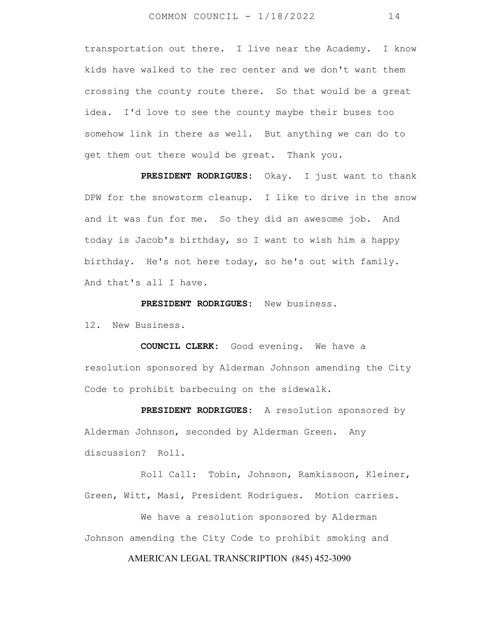transportation out there. I live near the Academy. I know kids have walked to the rec center and we don't want them crossing the county route there. So that would be a great idea. I'd love to see the county maybe their buses too somehow link in there as well. But anything we can do to get them out there would be great. Thank you.

 **PRESIDENT RODRIGUES:** Okay. I just want to thank DPW for the snowstorm cleanup. I like to drive in the snow and it was fun for me. So they did an awesome job. And today is Jacob's birthday, so I want to wish him a happy birthday. He's not here today, so he's out with family. And that's all I have.

**PRESIDENT RODRIGUES:** New business.

12. New Business.

 **COUNCIL CLERK:** Good evening. We have a resolution sponsored by Alderman Johnson amending the City Code to prohibit barbecuing on the sidewalk.

 **PRESIDENT RODRIGUES:** A resolution sponsored by Alderman Johnson, seconded by Alderman Green. Any discussion? Roll.

 Roll Call: Tobin, Johnson, Ramkissoon, Kleiner, Green, Witt, Masi, President Rodrigues. Motion carries.

 We have a resolution sponsored by Alderman Johnson amending the City Code to prohibit smoking and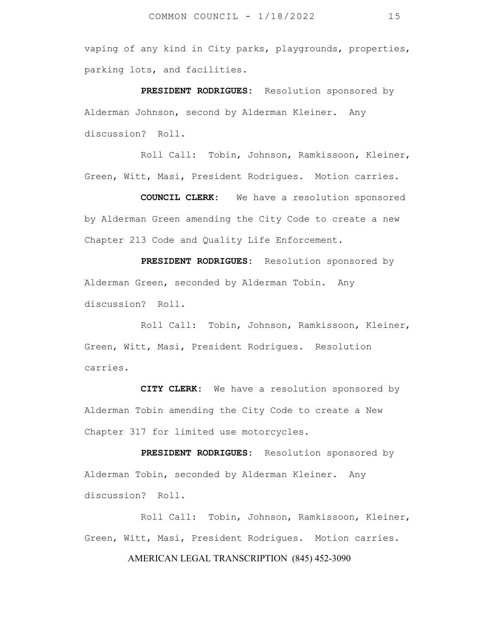vaping of any kind in City parks, playgrounds, properties, parking lots, and facilities.

 **PRESIDENT RODRIGUES:** Resolution sponsored by Alderman Johnson, second by Alderman Kleiner. Any discussion? Roll.

 Roll Call: Tobin, Johnson, Ramkissoon, Kleiner, Green, Witt, Masi, President Rodrigues. Motion carries.

 **COUNCIL CLERK:** We have a resolution sponsored by Alderman Green amending the City Code to create a new Chapter 213 Code and Quality Life Enforcement.

 **PRESIDENT RODRIGUES:** Resolution sponsored by Alderman Green, seconded by Alderman Tobin. Any discussion? Roll.

 Roll Call: Tobin, Johnson, Ramkissoon, Kleiner, Green, Witt, Masi, President Rodrigues. Resolution carries.

 **CITY CLERK:** We have a resolution sponsored by Alderman Tobin amending the City Code to create a New Chapter 317 for limited use motorcycles.

 **PRESIDENT RODRIGUES:** Resolution sponsored by Alderman Tobin, seconded by Alderman Kleiner. Any discussion? Roll.

 Roll Call: Tobin, Johnson, Ramkissoon, Kleiner, Green, Witt, Masi, President Rodrigues. Motion carries.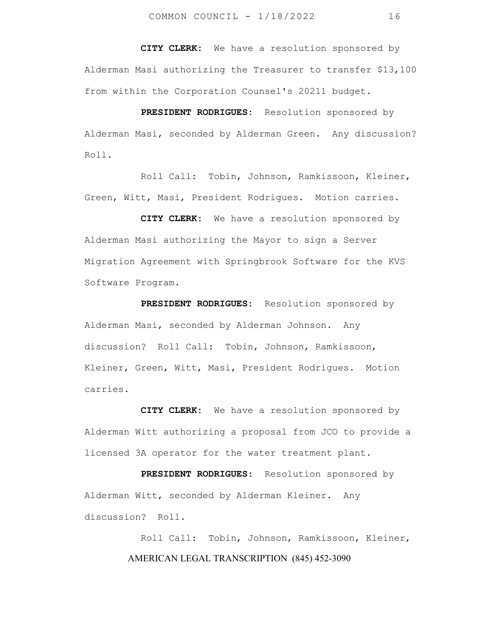**CITY CLERK:** We have a resolution sponsored by Alderman Masi authorizing the Treasurer to transfer \$13,100 from within the Corporation Counsel's 20211 budget.

 **PRESIDENT RODRIGUES:** Resolution sponsored by Alderman Masi, seconded by Alderman Green. Any discussion? Roll.

 Roll Call: Tobin, Johnson, Ramkissoon, Kleiner, Green, Witt, Masi, President Rodrigues. Motion carries.

 **CITY CLERK:** We have a resolution sponsored by Alderman Masi authorizing the Mayor to sign a Server Migration Agreement with Springbrook Software for the KVS Software Program.

 **PRESIDENT RODRIGUES:** Resolution sponsored by Alderman Masi, seconded by Alderman Johnson. Any discussion? Roll Call: Tobin, Johnson, Ramkissoon, Kleiner, Green, Witt, Masi, President Rodrigues. Motion carries.

 **CITY CLERK:** We have a resolution sponsored by Alderman Witt authorizing a proposal from JCO to provide a licensed 3A operator for the water treatment plant.

 **PRESIDENT RODRIGUES:** Resolution sponsored by Alderman Witt, seconded by Alderman Kleiner. Any discussion? Roll.

> AMERICAN LEGAL TRANSCRIPTION (845) 452-3090 Roll Call: Tobin, Johnson, Ramkissoon, Kleiner,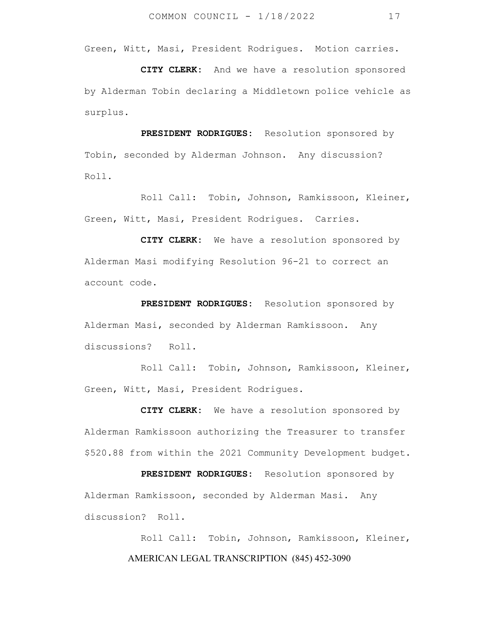Green, Witt, Masi, President Rodrigues. Motion carries.

 **CITY CLERK:** And we have a resolution sponsored by Alderman Tobin declaring a Middletown police vehicle as surplus.

 **PRESIDENT RODRIGUES:** Resolution sponsored by Tobin, seconded by Alderman Johnson. Any discussion? Roll.

 Roll Call: Tobin, Johnson, Ramkissoon, Kleiner, Green, Witt, Masi, President Rodrigues. Carries.

 **CITY CLERK:** We have a resolution sponsored by Alderman Masi modifying Resolution 96-21 to correct an account code.

 **PRESIDENT RODRIGUES:** Resolution sponsored by Alderman Masi, seconded by Alderman Ramkissoon. Any discussions? Roll.

Roll Call: Tobin, Johnson, Ramkissoon, Kleiner, Green, Witt, Masi, President Rodrigues.

 **CITY CLERK:** We have a resolution sponsored by Alderman Ramkissoon authorizing the Treasurer to transfer \$520.88 from within the 2021 Community Development budget.

 **PRESIDENT RODRIGUES:** Resolution sponsored by Alderman Ramkissoon, seconded by Alderman Masi. Any discussion? Roll.

> AMERICAN LEGAL TRANSCRIPTION (845) 452-3090 Roll Call: Tobin, Johnson, Ramkissoon, Kleiner,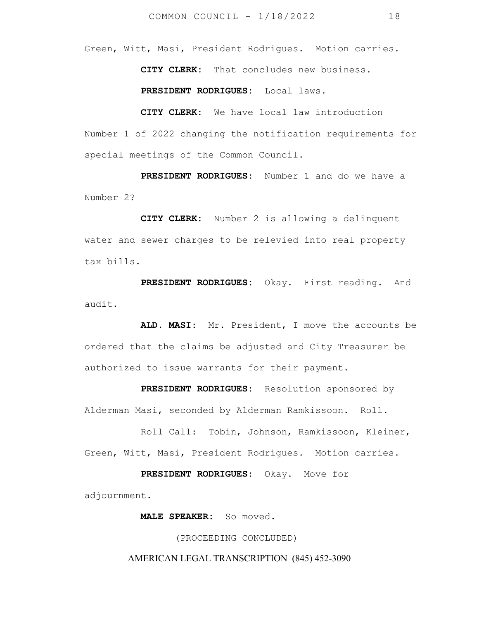Green, Witt, Masi, President Rodrigues. Motion carries.

**CITY CLERK:** That concludes new business.

 **PRESIDENT RODRIGUES:** Local laws.

 **CITY CLERK:** We have local law introduction Number 1 of 2022 changing the notification requirements for special meetings of the Common Council.

 **PRESIDENT RODRIGUES:** Number 1 and do we have a Number 2?

 **CITY CLERK:** Number 2 is allowing a delinquent water and sewer charges to be relevied into real property tax bills.

 **PRESIDENT RODRIGUES:** Okay. First reading. And audit.

 **ALD. MASI:** Mr. President, I move the accounts be ordered that the claims be adjusted and City Treasurer be authorized to issue warrants for their payment.

 **PRESIDENT RODRIGUES:** Resolution sponsored by Alderman Masi, seconded by Alderman Ramkissoon. Roll.

Roll Call: Tobin, Johnson, Ramkissoon, Kleiner, Green, Witt, Masi, President Rodrigues. Motion carries.

 **PRESIDENT RODRIGUES:** Okay. Move for adjournment.

 **MALE SPEAKER:** So moved.

(PROCEEDING CONCLUDED)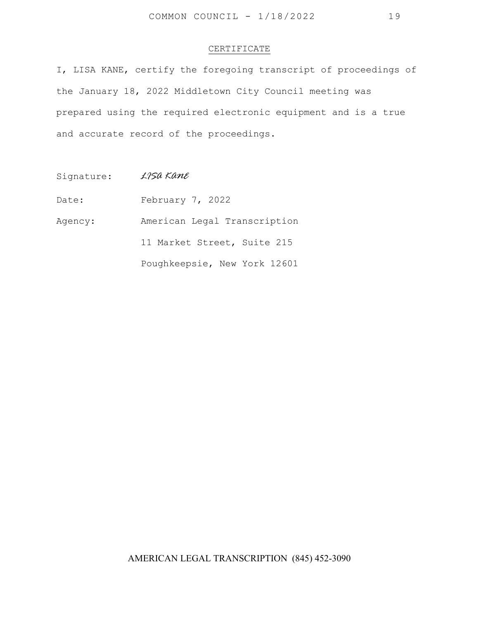#### CERTIFICATE

I, LISA KANE, certify the foregoing transcript of proceedings of the January 18, 2022 Middletown City Council meeting was prepared using the required electronic equipment and is a true and accurate record of the proceedings.

Signature: *LISA KANE* 

Date: February 7, 2022

Agency: American Legal Transcription

11 Market Street, Suite 215

Poughkeepsie, New York 12601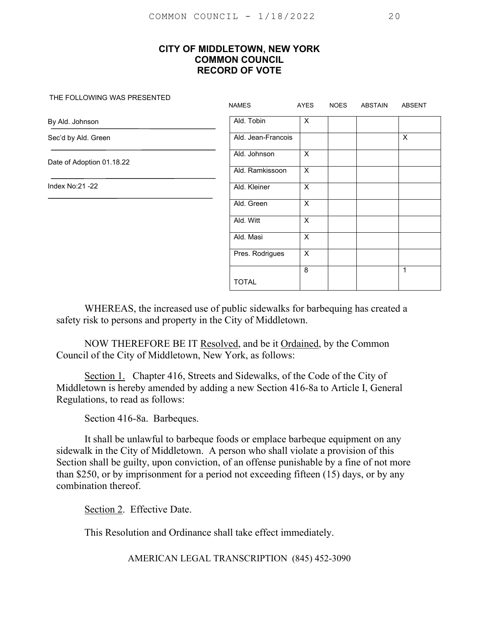#### THE FOLLOWING WAS PRESENTED

|                           | <b>NAMES</b>       | AYES                      | <b>NOES</b> | ABSTAIN | <b>ABSENT</b> |
|---------------------------|--------------------|---------------------------|-------------|---------|---------------|
| By Ald. Johnson           | Ald. Tobin         | $\mathsf{X}$              |             |         |               |
| Sec'd by Ald. Green       | Ald. Jean-Francois |                           |             |         | X             |
| Date of Adoption 01.18.22 | Ald. Johnson       | $\overline{\mathsf{x}}$   |             |         |               |
|                           | Ald. Ramkissoon    | $\boldsymbol{\mathsf{X}}$ |             |         |               |
| Index No:21 -22           | Ald. Kleiner       | $\times$                  |             |         |               |
|                           | Ald. Green         | $\overline{X}$            |             |         |               |
|                           | Ald. Witt          | $\boldsymbol{\mathsf{X}}$ |             |         |               |
|                           | Ald. Masi          | $\boldsymbol{\mathsf{X}}$ |             |         |               |
|                           | Pres. Rodrigues    | $\boldsymbol{\mathsf{X}}$ |             |         |               |
|                           |                    | 8                         |             |         | 1             |
|                           | <b>TOTAL</b>       |                           |             |         |               |

WHEREAS, the increased use of public sidewalks for barbequing has created a safety risk to persons and property in the City of Middletown.

NOW THEREFORE BE IT Resolved, and be it Ordained, by the Common Council of the City of Middletown, New York, as follows:

Section 1. Chapter 416, Streets and Sidewalks, of the Code of the City of Middletown is hereby amended by adding a new Section 416-8a to Article I, General Regulations, to read as follows:

Section 416-8a. Barbeques.

It shall be unlawful to barbeque foods or emplace barbeque equipment on any sidewalk in the City of Middletown. A person who shall violate a provision of this Section shall be guilty, upon conviction, of an offense punishable by a fine of not more than \$250, or by imprisonment for a period not exceeding fifteen (15) days, or by any combination thereof.

Section 2. Effective Date.

This Resolution and Ordinance shall take effect immediately.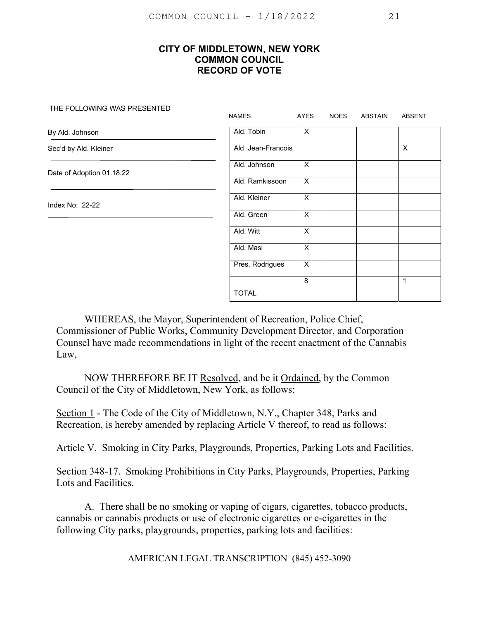THE FOLLOWING WAS PRESENTED

|                           | <b>NAMES</b>       | AYES                    | <b>NOES</b> | <b>ABSTAIN</b> | <b>ABSENT</b>             |
|---------------------------|--------------------|-------------------------|-------------|----------------|---------------------------|
| By Ald. Johnson           | Ald. Tobin         | X                       |             |                |                           |
| Sec'd by Ald. Kleiner     | Ald. Jean-Francois |                         |             |                | $\boldsymbol{\mathsf{X}}$ |
| Date of Adoption 01.18.22 | Ald. Johnson       | X                       |             |                |                           |
|                           | Ald. Ramkissoon    | X                       |             |                |                           |
| Index No: 22-22           | Ald. Kleiner       | $\overline{\mathsf{x}}$ |             |                |                           |
|                           | Ald. Green         | X                       |             |                |                           |
|                           | Ald. Witt          | X                       |             |                |                           |
|                           | Ald. Masi          | X                       |             |                |                           |
|                           | Pres. Rodrigues    | X                       |             |                |                           |
|                           |                    | 8                       |             |                | $\mathbf 1$               |
|                           | <b>TOTAL</b>       |                         |             |                |                           |

 WHEREAS, the Mayor, Superintendent of Recreation, Police Chief, Commissioner of Public Works, Community Development Director, and Corporation Counsel have made recommendations in light of the recent enactment of the Cannabis Law,

 NOW THEREFORE BE IT Resolved, and be it Ordained, by the Common Council of the City of Middletown, New York, as follows:

Section 1 - The Code of the City of Middletown, N.Y., Chapter 348, Parks and Recreation, is hereby amended by replacing Article V thereof, to read as follows:

Article V. Smoking in City Parks, Playgrounds, Properties, Parking Lots and Facilities.

Section 348-17. Smoking Prohibitions in City Parks, Playgrounds, Properties, Parking Lots and Facilities.

 A. There shall be no smoking or vaping of cigars, cigarettes, tobacco products, cannabis or cannabis products or use of electronic cigarettes or e-cigarettes in the following City parks, playgrounds, properties, parking lots and facilities: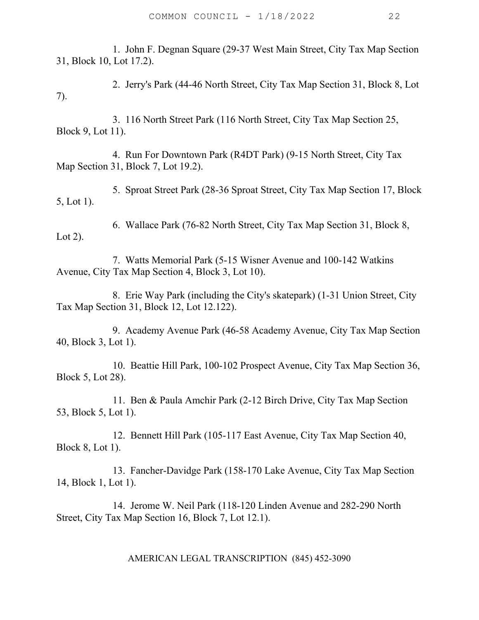1. John F. Degnan Square (29-37 West Main Street, City Tax Map Section 31, Block 10, Lot 17.2).

 2. Jerry's Park (44-46 North Street, City Tax Map Section 31, Block 8, Lot 7).

 3. 116 North Street Park (116 North Street, City Tax Map Section 25, Block 9, Lot 11).

 4. Run For Downtown Park (R4DT Park) (9-15 North Street, City Tax Map Section 31, Block 7, Lot 19.2).

 5. Sproat Street Park (28-36 Sproat Street, City Tax Map Section 17, Block 5, Lot 1).

 6. Wallace Park (76-82 North Street, City Tax Map Section 31, Block 8, Lot 2).

 7. Watts Memorial Park (5-15 Wisner Avenue and 100-142 Watkins Avenue, City Tax Map Section 4, Block 3, Lot 10).

 8. Erie Way Park (including the City's skatepark) (1-31 Union Street, City Tax Map Section 31, Block 12, Lot 12.122).

 9. Academy Avenue Park (46-58 Academy Avenue, City Tax Map Section 40, Block 3, Lot 1).

 10. Beattie Hill Park, 100-102 Prospect Avenue, City Tax Map Section 36, Block 5, Lot 28).

 11. Ben & Paula Amchir Park (2-12 Birch Drive, City Tax Map Section 53, Block 5, Lot 1).

 12. Bennett Hill Park (105-117 East Avenue, City Tax Map Section 40, Block 8, Lot 1).

 13. Fancher-Davidge Park (158-170 Lake Avenue, City Tax Map Section 14, Block 1, Lot 1).

 14. Jerome W. Neil Park (118-120 Linden Avenue and 282-290 North Street, City Tax Map Section 16, Block 7, Lot 12.1).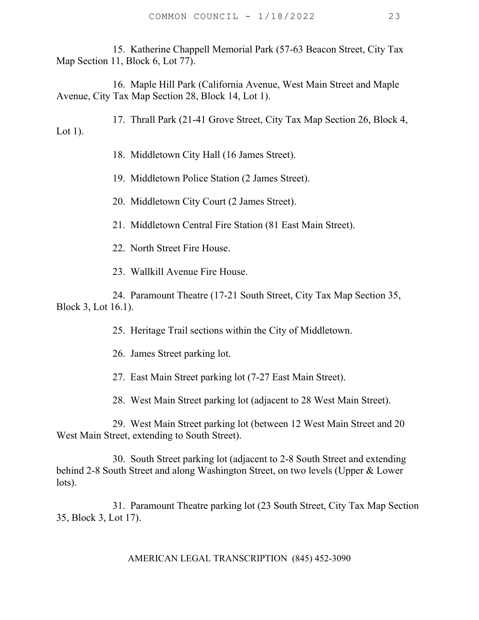15. Katherine Chappell Memorial Park (57-63 Beacon Street, City Tax Map Section 11, Block 6, Lot 77).

 16. Maple Hill Park (California Avenue, West Main Street and Maple Avenue, City Tax Map Section 28, Block 14, Lot 1).

 17. Thrall Park (21-41 Grove Street, City Tax Map Section 26, Block 4, Lot 1).

18. Middletown City Hall (16 James Street).

19. Middletown Police Station (2 James Street).

20. Middletown City Court (2 James Street).

21. Middletown Central Fire Station (81 East Main Street).

22. North Street Fire House.

23. Wallkill Avenue Fire House.

 24. Paramount Theatre (17-21 South Street, City Tax Map Section 35, Block 3, Lot 16.1).

25. Heritage Trail sections within the City of Middletown.

26. James Street parking lot.

27. East Main Street parking lot (7-27 East Main Street).

28. West Main Street parking lot (adjacent to 28 West Main Street).

 29. West Main Street parking lot (between 12 West Main Street and 20 West Main Street, extending to South Street).

 30. South Street parking lot (adjacent to 2-8 South Street and extending behind 2-8 South Street and along Washington Street, on two levels (Upper & Lower lots).

 31. Paramount Theatre parking lot (23 South Street, City Tax Map Section 35, Block 3, Lot 17).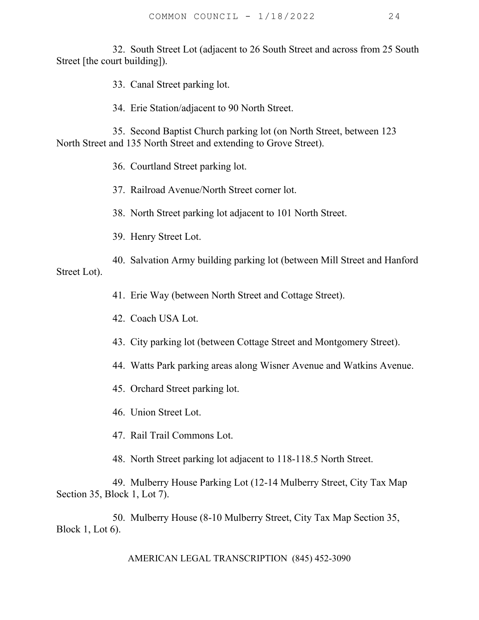32. South Street Lot (adjacent to 26 South Street and across from 25 South Street [the court building]).

33. Canal Street parking lot.

34. Erie Station/adjacent to 90 North Street.

 35. Second Baptist Church parking lot (on North Street, between 123 North Street and 135 North Street and extending to Grove Street).

36. Courtland Street parking lot.

37. Railroad Avenue/North Street corner lot.

38. North Street parking lot adjacent to 101 North Street.

39. Henry Street Lot.

 40. Salvation Army building parking lot (between Mill Street and Hanford Street Lot).

41. Erie Way (between North Street and Cottage Street).

42. Coach USA Lot.

43. City parking lot (between Cottage Street and Montgomery Street).

44. Watts Park parking areas along Wisner Avenue and Watkins Avenue.

45. Orchard Street parking lot.

46. Union Street Lot.

47. Rail Trail Commons Lot.

48. North Street parking lot adjacent to 118-118.5 North Street.

 49. Mulberry House Parking Lot (12-14 Mulberry Street, City Tax Map Section 35, Block 1, Lot 7).

 50. Mulberry House (8-10 Mulberry Street, City Tax Map Section 35, Block 1, Lot 6).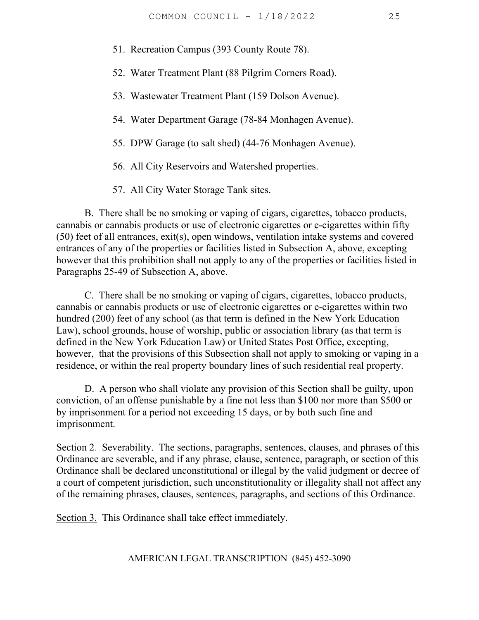51. Recreation Campus (393 County Route 78).

52. Water Treatment Plant (88 Pilgrim Corners Road).

- 53. Wastewater Treatment Plant (159 Dolson Avenue).
- 54. Water Department Garage (78-84 Monhagen Avenue).
- 55. DPW Garage (to salt shed) (44-76 Monhagen Avenue).
- 56. All City Reservoirs and Watershed properties.
- 57. All City Water Storage Tank sites.

 B. There shall be no smoking or vaping of cigars, cigarettes, tobacco products, cannabis or cannabis products or use of electronic cigarettes or e-cigarettes within fifty (50) feet of all entrances, exit(s), open windows, ventilation intake systems and covered entrances of any of the properties or facilities listed in Subsection A, above, excepting however that this prohibition shall not apply to any of the properties or facilities listed in Paragraphs 25-49 of Subsection A, above.

 C. There shall be no smoking or vaping of cigars, cigarettes, tobacco products, cannabis or cannabis products or use of electronic cigarettes or e-cigarettes within two hundred (200) feet of any school (as that term is defined in the New York Education Law), school grounds, house of worship, public or association library (as that term is defined in the New York Education Law) or United States Post Office, excepting, however, that the provisions of this Subsection shall not apply to smoking or vaping in a residence, or within the real property boundary lines of such residential real property.

 D. A person who shall violate any provision of this Section shall be guilty, upon conviction, of an offense punishable by a fine not less than \$100 nor more than \$500 or by imprisonment for a period not exceeding 15 days, or by both such fine and imprisonment.

Section 2. Severability. The sections, paragraphs, sentences, clauses, and phrases of this Ordinance are severable, and if any phrase, clause, sentence, paragraph, or section of this Ordinance shall be declared unconstitutional or illegal by the valid judgment or decree of a court of competent jurisdiction, such unconstitutionality or illegality shall not affect any of the remaining phrases, clauses, sentences, paragraphs, and sections of this Ordinance.

Section 3. This Ordinance shall take effect immediately.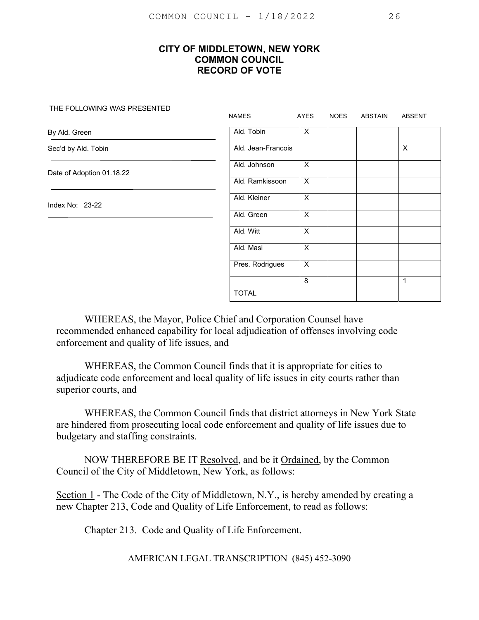THE FOLLOWING WAS PRESENTED

|                           | <b>NAMES</b>       | AYES                    | <b>NOES</b> | ABSTAIN | ABSENT      |
|---------------------------|--------------------|-------------------------|-------------|---------|-------------|
| By Ald. Green             | Ald. Tobin         | X                       |             |         |             |
| Sec'd by Ald. Tobin       | Ald. Jean-Francois |                         |             |         | X           |
| Date of Adoption 01.18.22 | Ald. Johnson       | $\overline{X}$          |             |         |             |
|                           | Ald. Ramkissoon    | X                       |             |         |             |
| Index No: 23-22           | Ald. Kleiner       | $\overline{\mathsf{x}}$ |             |         |             |
|                           | Ald. Green         | X                       |             |         |             |
|                           | Ald. Witt          | X                       |             |         |             |
|                           | Ald. Masi          | X                       |             |         |             |
|                           | Pres. Rodrigues    | X                       |             |         |             |
|                           |                    | 8                       |             |         | $\mathbf 1$ |
|                           | <b>TOTAL</b>       |                         |             |         |             |

 WHEREAS, the Mayor, Police Chief and Corporation Counsel have recommended enhanced capability for local adjudication of offenses involving code enforcement and quality of life issues, and

 WHEREAS, the Common Council finds that it is appropriate for cities to adjudicate code enforcement and local quality of life issues in city courts rather than superior courts, and

 WHEREAS, the Common Council finds that district attorneys in New York State are hindered from prosecuting local code enforcement and quality of life issues due to budgetary and staffing constraints.

 NOW THEREFORE BE IT Resolved, and be it Ordained, by the Common Council of the City of Middletown, New York, as follows:

Section 1 - The Code of the City of Middletown, N.Y., is hereby amended by creating a new Chapter 213, Code and Quality of Life Enforcement, to read as follows:

Chapter 213. Code and Quality of Life Enforcement.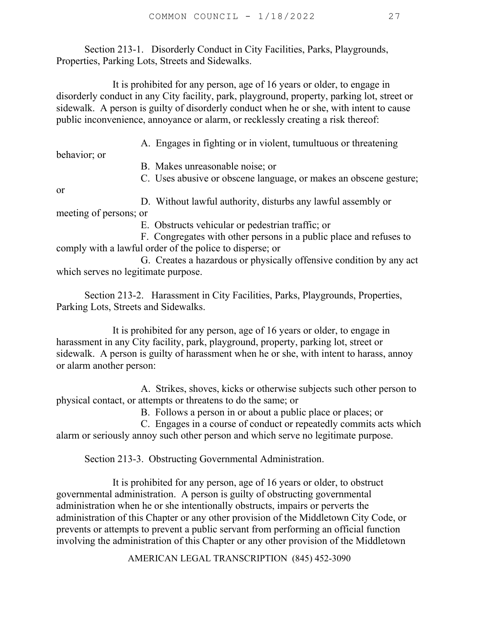Section 213-1. Disorderly Conduct in City Facilities, Parks, Playgrounds, Properties, Parking Lots, Streets and Sidewalks.

 It is prohibited for any person, age of 16 years or older, to engage in disorderly conduct in any City facility, park, playground, property, parking lot, street or sidewalk. A person is guilty of disorderly conduct when he or she, with intent to cause public inconvenience, annoyance or alarm, or recklessly creating a risk thereof:

A. Engages in fighting or in violent, tumultuous or threatening

behavior; or

or

B. Makes unreasonable noise; or

C. Uses abusive or obscene language, or makes an obscene gesture;

 D. Without lawful authority, disturbs any lawful assembly or meeting of persons; or

E. Obstructs vehicular or pedestrian traffic; or

 F. Congregates with other persons in a public place and refuses to comply with a lawful order of the police to disperse; or

 G. Creates a hazardous or physically offensive condition by any act which serves no legitimate purpose.

 Section 213-2. Harassment in City Facilities, Parks, Playgrounds, Properties, Parking Lots, Streets and Sidewalks.

 It is prohibited for any person, age of 16 years or older, to engage in harassment in any City facility, park, playground, property, parking lot, street or sidewalk. A person is guilty of harassment when he or she, with intent to harass, annoy or alarm another person:

 A. Strikes, shoves, kicks or otherwise subjects such other person to physical contact, or attempts or threatens to do the same; or

B. Follows a person in or about a public place or places; or

 C. Engages in a course of conduct or repeatedly commits acts which alarm or seriously annoy such other person and which serve no legitimate purpose.

Section 213-3. Obstructing Governmental Administration.

 It is prohibited for any person, age of 16 years or older, to obstruct governmental administration. A person is guilty of obstructing governmental administration when he or she intentionally obstructs, impairs or perverts the administration of this Chapter or any other provision of the Middletown City Code, or prevents or attempts to prevent a public servant from performing an official function involving the administration of this Chapter or any other provision of the Middletown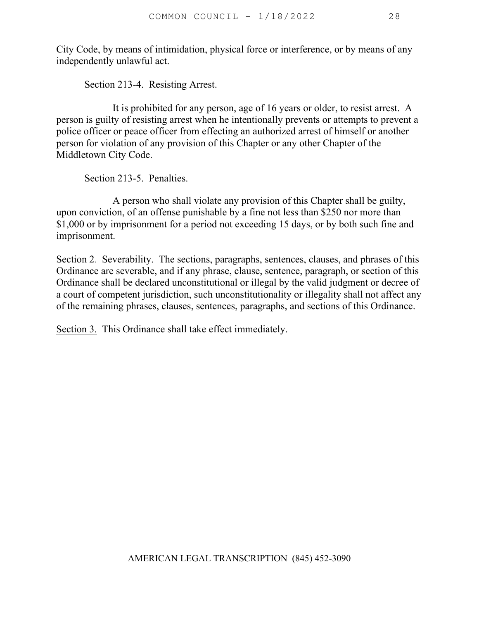City Code, by means of intimidation, physical force or interference, or by means of any independently unlawful act.

Section 213-4. Resisting Arrest.

 It is prohibited for any person, age of 16 years or older, to resist arrest. A person is guilty of resisting arrest when he intentionally prevents or attempts to prevent a police officer or peace officer from effecting an authorized arrest of himself or another person for violation of any provision of this Chapter or any other Chapter of the Middletown City Code.

Section 213-5. Penalties.

 A person who shall violate any provision of this Chapter shall be guilty, upon conviction, of an offense punishable by a fine not less than \$250 nor more than \$1,000 or by imprisonment for a period not exceeding 15 days, or by both such fine and imprisonment.

Section 2. Severability. The sections, paragraphs, sentences, clauses, and phrases of this Ordinance are severable, and if any phrase, clause, sentence, paragraph, or section of this Ordinance shall be declared unconstitutional or illegal by the valid judgment or decree of a court of competent jurisdiction, such unconstitutionality or illegality shall not affect any of the remaining phrases, clauses, sentences, paragraphs, and sections of this Ordinance.

Section 3. This Ordinance shall take effect immediately.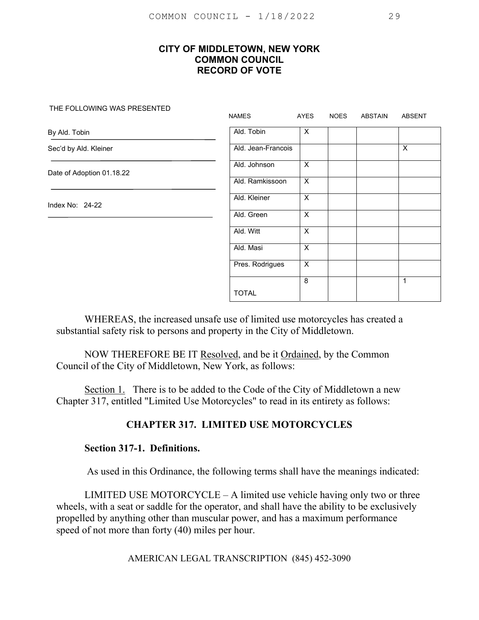THE FOLLOWING WAS PRESENTED

|                           | <b>NAMES</b>       | AYES           | <b>NOES</b> | <b>ABSTAIN</b> | <b>ABSENT</b> |
|---------------------------|--------------------|----------------|-------------|----------------|---------------|
| By Ald. Tobin             | Ald. Tobin         | X              |             |                |               |
| Sec'd by Ald. Kleiner     | Ald. Jean-Francois |                |             |                | $\times$      |
| Date of Adoption 01.18.22 | Ald. Johnson       | X              |             |                |               |
|                           | Ald. Ramkissoon    | $\overline{X}$ |             |                |               |
| Index No: $24-22$         | Ald. Kleiner       | X              |             |                |               |
|                           | Ald. Green         | $\overline{X}$ |             |                |               |
|                           | Ald. Witt          | X              |             |                |               |
|                           | Ald. Masi          | X              |             |                |               |
|                           | Pres. Rodrigues    | X              |             |                |               |
|                           |                    | 8              |             |                | $\mathbf{1}$  |
|                           | <b>TOTAL</b>       |                |             |                |               |

WHEREAS, the increased unsafe use of limited use motorcycles has created a substantial safety risk to persons and property in the City of Middletown.

NOW THEREFORE BE IT Resolved, and be it Ordained, by the Common Council of the City of Middletown, New York, as follows:

Section 1. There is to be added to the Code of the City of Middletown a new Chapter 317, entitled "Limited Use Motorcycles" to read in its entirety as follows:

## **CHAPTER 317. LIMITED USE MOTORCYCLES**

#### **Section 317-1. Definitions.**

As used in this Ordinance, the following terms shall have the meanings indicated:

LIMITED USE MOTORCYCLE – A limited use vehicle having only two or three wheels, with a seat or saddle for the operator, and shall have the ability to be exclusively propelled by anything other than muscular power, and has a maximum performance speed of not more than forty (40) miles per hour.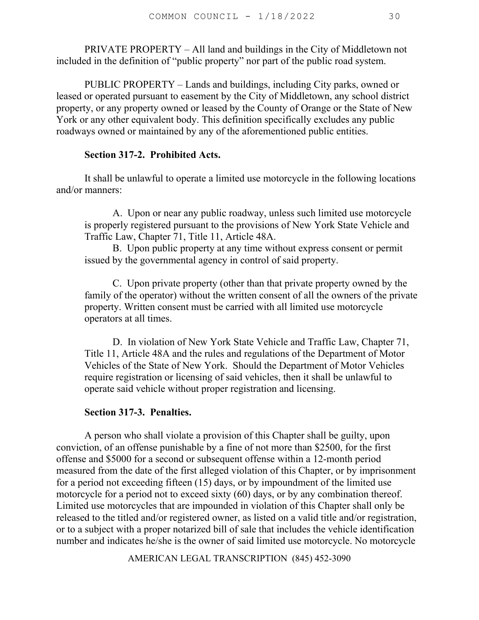PRIVATE PROPERTY – All land and buildings in the City of Middletown not included in the definition of "public property" nor part of the public road system.

PUBLIC PROPERTY – Lands and buildings, including City parks, owned or leased or operated pursuant to easement by the City of Middletown, any school district property, or any property owned or leased by the County of Orange or the State of New York or any other equivalent body. This definition specifically excludes any public roadways owned or maintained by any of the aforementioned public entities.

#### **Section 317-2. Prohibited Acts.**

It shall be unlawful to operate a limited use motorcycle in the following locations and/or manners:

 A. Upon or near any public roadway, unless such limited use motorcycle is properly registered pursuant to the provisions of New York State Vehicle and Traffic Law, Chapter 71, Title 11, Article 48A.

B. Upon public property at any time without express consent or permit issued by the governmental agency in control of said property.

 C. Upon private property (other than that private property owned by the family of the operator) without the written consent of all the owners of the private property. Written consent must be carried with all limited use motorcycle operators at all times.

 D. In violation of New York State Vehicle and Traffic Law, Chapter 71, Title 11, Article 48A and the rules and regulations of the Department of Motor Vehicles of the State of New York. Should the Department of Motor Vehicles require registration or licensing of said vehicles, then it shall be unlawful to operate said vehicle without proper registration and licensing.

#### **Section 317-3. Penalties.**

 A person who shall violate a provision of this Chapter shall be guilty, upon conviction, of an offense punishable by a fine of not more than \$2500, for the first offense and \$5000 for a second or subsequent offense within a 12-month period measured from the date of the first alleged violation of this Chapter, or by imprisonment for a period not exceeding fifteen (15) days, or by impoundment of the limited use motorcycle for a period not to exceed sixty (60) days, or by any combination thereof. Limited use motorcycles that are impounded in violation of this Chapter shall only be released to the titled and/or registered owner, as listed on a valid title and/or registration, or to a subject with a proper notarized bill of sale that includes the vehicle identification number and indicates he/she is the owner of said limited use motorcycle. No motorcycle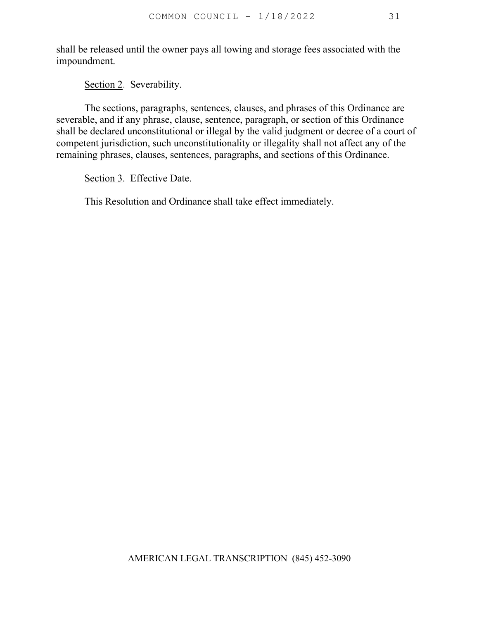shall be released until the owner pays all towing and storage fees associated with the impoundment.

Section 2. Severability.

 The sections, paragraphs, sentences, clauses, and phrases of this Ordinance are severable, and if any phrase, clause, sentence, paragraph, or section of this Ordinance shall be declared unconstitutional or illegal by the valid judgment or decree of a court of competent jurisdiction, such unconstitutionality or illegality shall not affect any of the remaining phrases, clauses, sentences, paragraphs, and sections of this Ordinance.

Section 3. Effective Date.

This Resolution and Ordinance shall take effect immediately.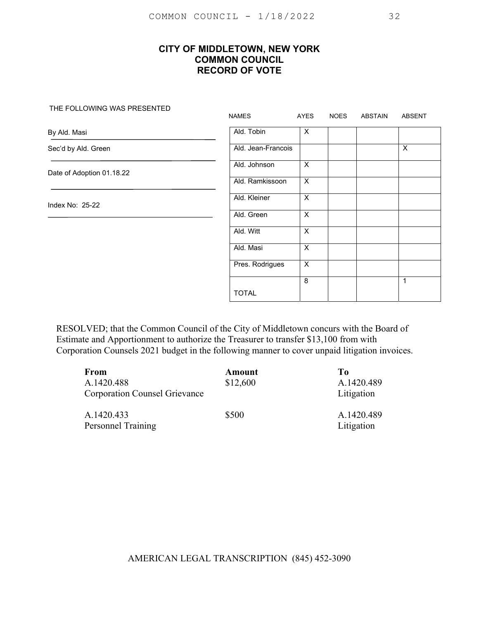THE FOLLOWING WAS PRESENTED

|                           | <b>NAMES</b>       | AYES                    | <b>NOES</b> | ABSTAIN | ABSENT      |
|---------------------------|--------------------|-------------------------|-------------|---------|-------------|
| By Ald. Masi              | Ald. Tobin         | X                       |             |         |             |
| Sec'd by Ald. Green       | Ald. Jean-Francois |                         |             |         | X           |
| Date of Adoption 01.18.22 | Ald. Johnson       | $\overline{\mathsf{x}}$ |             |         |             |
|                           | Ald. Ramkissoon    | X                       |             |         |             |
| Index No: 25-22           | Ald. Kleiner       | $\overline{X}$          |             |         |             |
|                           | Ald. Green         | X                       |             |         |             |
|                           | Ald. Witt          | X                       |             |         |             |
|                           | Ald. Masi          | X                       |             |         |             |
|                           | Pres. Rodrigues    | X                       |             |         |             |
|                           |                    | 8                       |             |         | $\mathbf 1$ |
|                           | <b>TOTAL</b>       |                         |             |         |             |

RESOLVED; that the Common Council of the City of Middletown concurs with the Board of Estimate and Apportionment to authorize the Treasurer to transfer \$13,100 from with Corporation Counsels 2021 budget in the following manner to cover unpaid litigation invoices.

| From<br>A.1420.488<br><b>Corporation Counsel Grievance</b> | Amount<br>\$12,600 | Tо<br>A.1420.489<br>Litigation |
|------------------------------------------------------------|--------------------|--------------------------------|
| A.1420.433<br><b>Personnel Training</b>                    | \$500              | A.1420.489<br>Litigation       |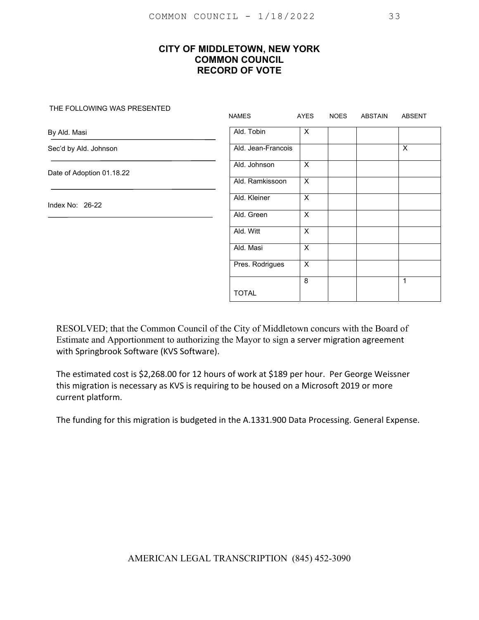#### THE FOLLOWING WAS PRESENTED

|                           | <b>NAMES</b>       | AYES                    | <b>NOES</b> | ABSTAIN | <b>ABSENT</b> |
|---------------------------|--------------------|-------------------------|-------------|---------|---------------|
| By Ald. Masi              | Ald. Tobin         | $\times$                |             |         |               |
| Sec'd by Ald. Johnson     | Ald. Jean-Francois |                         |             |         | X             |
| Date of Adoption 01.18.22 | Ald. Johnson       | $\overline{\mathsf{x}}$ |             |         |               |
|                           | Ald. Ramkissoon    | X                       |             |         |               |
| Index No: 26-22           | Ald. Kleiner       | X                       |             |         |               |
|                           | Ald. Green         | $\mathsf{X}$            |             |         |               |
|                           | Ald. Witt          | $\overline{\mathsf{x}}$ |             |         |               |
|                           | Ald. Masi          | $\overline{\mathsf{x}}$ |             |         |               |
|                           | Pres. Rodrigues    | $\overline{\mathsf{x}}$ |             |         |               |
|                           |                    | 8                       |             |         | 1             |
|                           | <b>TOTAL</b>       |                         |             |         |               |

RESOLVED; that the Common Council of the City of Middletown concurs with the Board of Estimate and Apportionment to authorizing the Mayor to sign a server migration agreement with Springbrook Software (KVS Software).

The estimated cost is \$2,268.00 for 12 hours of work at \$189 per hour. Per George Weissner this migration is necessary as KVS is requiring to be housed on a Microsoft 2019 or more current platform.

The funding for this migration is budgeted in the A.1331.900 Data Processing. General Expense.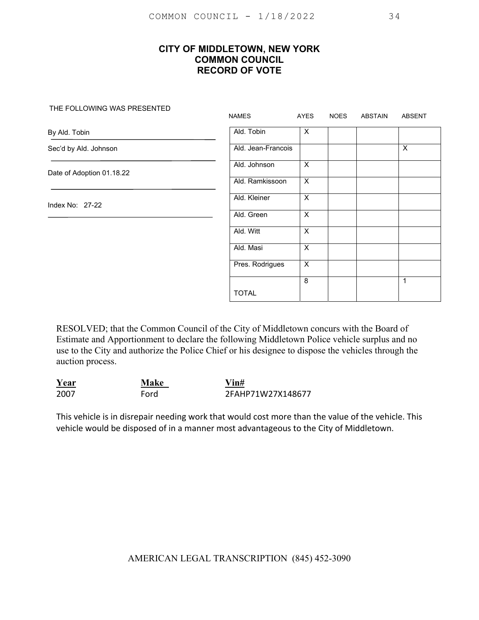#### THE FOLLOWING WAS PRESENTED

|                           | <b>NAMES</b>       | AYES                    | <b>NOES</b> | ABSTAIN | <b>ABSENT</b>             |
|---------------------------|--------------------|-------------------------|-------------|---------|---------------------------|
| By Ald. Tobin             | Ald. Tobin         | X                       |             |         |                           |
| Sec'd by Ald. Johnson     | Ald. Jean-Francois |                         |             |         | $\boldsymbol{\mathsf{X}}$ |
| Date of Adoption 01.18.22 | Ald. Johnson       | $\overline{X}$          |             |         |                           |
|                           | Ald. Ramkissoon    | X                       |             |         |                           |
| Index No: 27-22           | Ald. Kleiner       | $\overline{\mathsf{x}}$ |             |         |                           |
|                           | Ald. Green         | X                       |             |         |                           |
|                           | Ald. Witt          | X                       |             |         |                           |
|                           | Ald. Masi          | X                       |             |         |                           |
|                           | Pres. Rodrigues    | X                       |             |         |                           |
|                           |                    | 8                       |             |         | 1                         |
|                           | <b>TOTAL</b>       |                         |             |         |                           |

RESOLVED; that the Common Council of the City of Middletown concurs with the Board of Estimate and Apportionment to declare the following Middletown Police vehicle surplus and no use to the City and authorize the Police Chief or his designee to dispose the vehicles through the auction process.

| Year | Make | $V$ in#           |
|------|------|-------------------|
| 2007 | Ford | 2FAHP71W27X148677 |

This vehicle is in disrepair needing work that would cost more than the value of the vehicle. This vehicle would be disposed of in a manner most advantageous to the City of Middletown.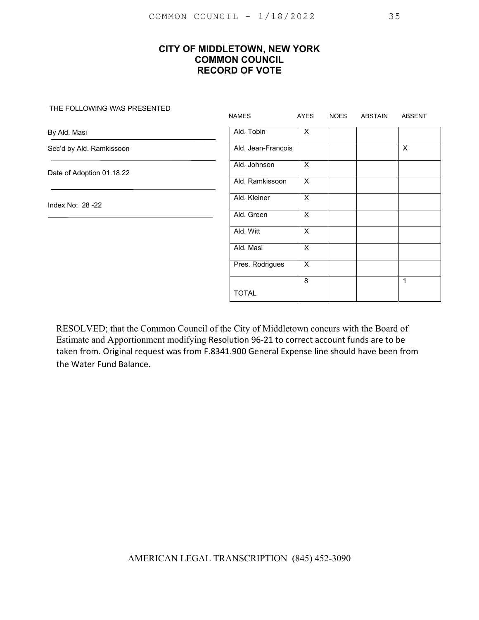#### THE FOLLOWING WAS PRESENTED

|                           | <b>NAMES</b>       | AYES                      | <b>NOES</b> | ABSTAIN | ABSENT |
|---------------------------|--------------------|---------------------------|-------------|---------|--------|
| By Ald. Masi              | Ald. Tobin         | X                         |             |         |        |
| Sec'd by Ald. Ramkissoon  | Ald. Jean-Francois |                           |             |         | X      |
| Date of Adoption 01.18.22 | Ald. Johnson       | $\boldsymbol{\mathsf{X}}$ |             |         |        |
|                           | Ald. Ramkissoon    | $\boldsymbol{\mathsf{X}}$ |             |         |        |
| Index No: 28 - 22         | Ald. Kleiner       | $\sf X$                   |             |         |        |
|                           | Ald. Green         | $\times$                  |             |         |        |
|                           | Ald. Witt          | $\overline{X}$            |             |         |        |
|                           | Ald. Masi          | $\times$                  |             |         |        |
|                           | Pres. Rodrigues    | $\overline{X}$            |             |         |        |
|                           |                    | 8                         |             |         | 1      |
|                           | <b>TOTAL</b>       |                           |             |         |        |

RESOLVED; that the Common Council of the City of Middletown concurs with the Board of Estimate and Apportionment modifying Resolution 96‐21 to correct account funds are to be taken from. Original request was from F.8341.900 General Expense line should have been from the Water Fund Balance.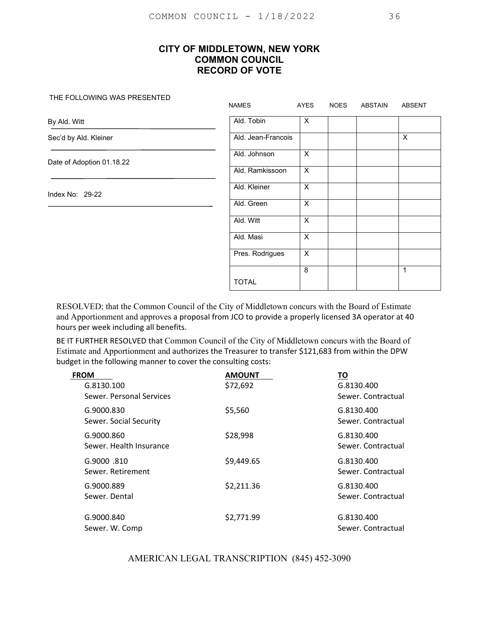#### THE FOLLOWING WAS PRESENTED

|                           | <b>NAMES</b>       | AYES                      | <b>NOES</b> | ABSTAIN | <b>ABSENT</b> |
|---------------------------|--------------------|---------------------------|-------------|---------|---------------|
| By Ald. Witt              | Ald. Tobin         | $\boldsymbol{\mathsf{X}}$ |             |         |               |
| Sec'd by Ald. Kleiner     | Ald. Jean-Francois |                           |             |         | X             |
| Date of Adoption 01.18.22 | Ald. Johnson       | $\boldsymbol{\mathsf{X}}$ |             |         |               |
|                           | Ald. Ramkissoon    | $\times$                  |             |         |               |
| Index No: $29-22$         | Ald. Kleiner       | $\boldsymbol{\mathsf{X}}$ |             |         |               |
|                           | Ald. Green         | $\overline{\mathsf{x}}$   |             |         |               |
|                           | Ald. Witt          | $\times$                  |             |         |               |
|                           | Ald. Masi          | $\boldsymbol{\mathsf{X}}$ |             |         |               |
|                           | Pres. Rodrigues    | $\boldsymbol{\mathsf{X}}$ |             |         |               |
|                           | <b>TOTAL</b>       | 8                         |             |         | 1             |

RESOLVED; that the Common Council of the City of Middletown concurs with the Board of Estimate and Apportionment and approves a proposal from JCO to provide a properly licensed 3A operator at 40 hours per week including all benefits.

BE IT FURTHER RESOLVED that Common Council of the City of Middletown concurs with the Board of Estimate and Apportionment and authorizes the Treasurer to transfer \$121,683 from within the DPW budget in the following manner to cover the consulting costs:

| <b>FROM</b>                            | <b>AMOUNT</b> | ТО                               |
|----------------------------------------|---------------|----------------------------------|
| G.8130.100<br>Sewer, Personal Services | \$72,692      | G.8130.400<br>Sewer, Contractual |
| G.9000.830<br>Sewer. Social Security   | \$5,560       | G.8130.400<br>Sewer. Contractual |
| G.9000.860<br>Sewer. Health Insurance  | \$28,998      | G.8130.400<br>Sewer, Contractual |
| G.9000 .810<br>Sewer, Retirement       | \$9,449.65    | G.8130.400<br>Sewer, Contractual |
| G.9000.889<br>Sewer. Dental            | \$2,211.36    | G.8130.400<br>Sewer, Contractual |
| G.9000.840<br>Sewer. W. Comp           | \$2,771.99    | G.8130.400<br>Sewer, Contractual |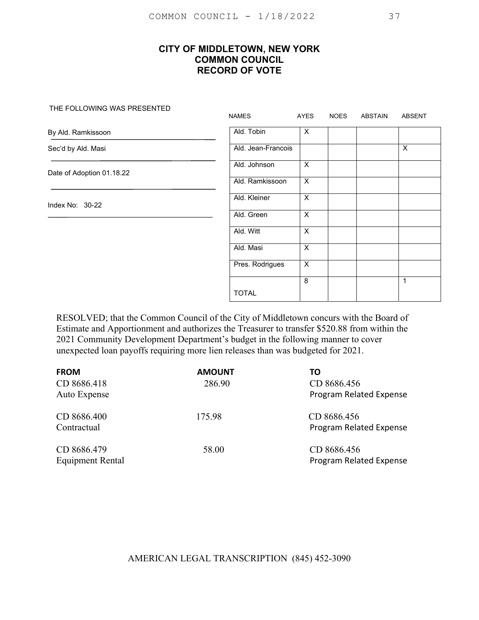#### THE FOLLOWING WAS PRESENTED

|                           | <b>NAMES</b>       | AYES           | <b>NOES</b> | ABSTAIN | <b>ABSENT</b>             |
|---------------------------|--------------------|----------------|-------------|---------|---------------------------|
| By Ald. Ramkissoon        | Ald. Tobin         | X              |             |         |                           |
| Sec'd by Ald. Masi        | Ald. Jean-Francois |                |             |         | $\boldsymbol{\mathsf{X}}$ |
| Date of Adoption 01.18.22 | Ald. Johnson       | $\overline{X}$ |             |         |                           |
|                           | Ald. Ramkissoon    | $\overline{X}$ |             |         |                           |
| Index No: 30-22           | Ald. Kleiner       | $\overline{X}$ |             |         |                           |
|                           | Ald. Green         | X              |             |         |                           |
|                           | Ald. Witt          | $\overline{X}$ |             |         |                           |
|                           | Ald. Masi          | X              |             |         |                           |
|                           | Pres. Rodrigues    | $\overline{X}$ |             |         |                           |
|                           |                    | 8              |             |         | $\mathbf{1}$              |
|                           | <b>TOTAL</b>       |                |             |         |                           |

RESOLVED; that the Common Council of the City of Middletown concurs with the Board of Estimate and Apportionment and authorizes the Treasurer to transfer \$520.88 from within the 2021 Community Development Department's budget in the following manner to cover unexpected loan payoffs requiring more lien releases than was budgeted for 2021.

| <b>FROM</b><br>CD 8686.418<br>Auto Expense | <b>AMOUNT</b><br>286.90 | TΟ<br>CD 8686.456<br>Program Related Expense |
|--------------------------------------------|-------------------------|----------------------------------------------|
| CD 8686.400<br>Contractual                 | 175.98                  | CD 8686.456<br>Program Related Expense       |
| CD 8686.479<br><b>Equipment Rental</b>     | 58.00                   | CD 8686.456<br>Program Related Expense       |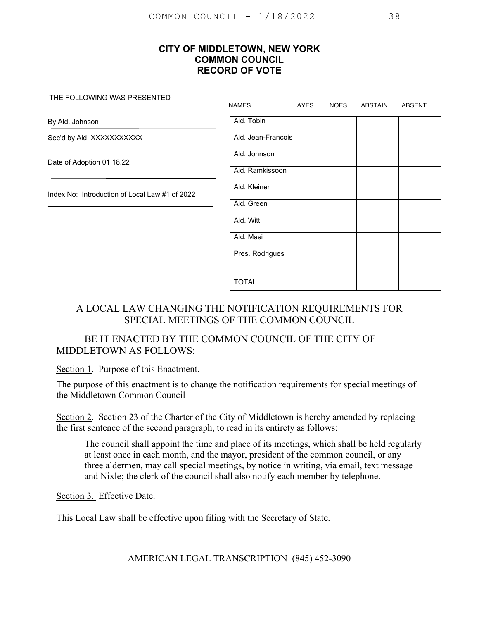THE FOLLOWING WAS PRESENTED

|                                                | <b>NAMES</b>       | AYES | <b>NOES</b> | <b>ABSTAIN</b> | <b>ABSENT</b> |
|------------------------------------------------|--------------------|------|-------------|----------------|---------------|
| By Ald. Johnson                                | Ald. Tobin         |      |             |                |               |
| Sec'd by Ald. XXXXXXXXXXX                      | Ald. Jean-Francois |      |             |                |               |
| Date of Adoption 01.18.22                      | Ald. Johnson       |      |             |                |               |
|                                                | Ald. Ramkissoon    |      |             |                |               |
| Index No: Introduction of Local Law #1 of 2022 | Ald. Kleiner       |      |             |                |               |
|                                                | Ald. Green         |      |             |                |               |
|                                                | Ald. Witt          |      |             |                |               |
|                                                | Ald. Masi          |      |             |                |               |
|                                                | Pres. Rodrigues    |      |             |                |               |
|                                                | <b>TOTAL</b>       |      |             |                |               |

# A LOCAL LAW CHANGING THE NOTIFICATION REQUIREMENTS FOR SPECIAL MEETINGS OF THE COMMON COUNCIL

# BE IT ENACTED BY THE COMMON COUNCIL OF THE CITY OF MIDDLETOWN AS FOLLOWS:

Section 1. Purpose of this Enactment.

The purpose of this enactment is to change the notification requirements for special meetings of the Middletown Common Council

Section 2. Section 23 of the Charter of the City of Middletown is hereby amended by replacing the first sentence of the second paragraph, to read in its entirety as follows:

The council shall appoint the time and place of its meetings, which shall be held regularly at least once in each month, and the mayor, president of the common council, or any three aldermen, may call special meetings, by notice in writing, via email, text message and Nixle; the clerk of the council shall also notify each member by telephone.

Section 3. Effective Date.

This Local Law shall be effective upon filing with the Secretary of State.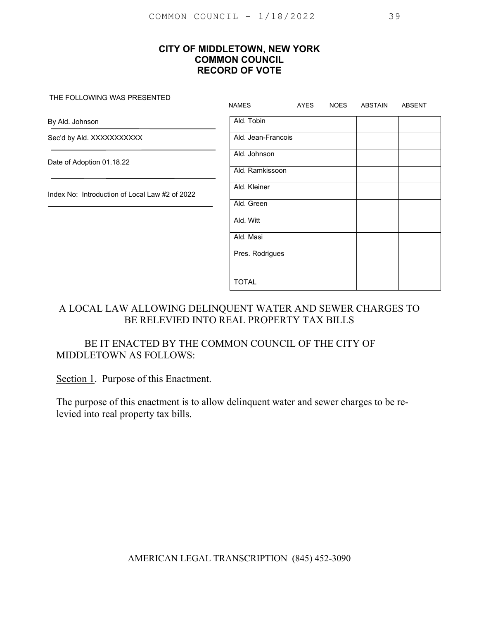THE FOLLOWING WAS PRESENTED

|                                                | <b>NAMES</b>       | AYES | <b>NOES</b> | ABSTAIN | <b>ABSENT</b> |
|------------------------------------------------|--------------------|------|-------------|---------|---------------|
| By Ald. Johnson                                | Ald. Tobin         |      |             |         |               |
| Sec'd by Ald. XXXXXXXXXX                       | Ald. Jean-Francois |      |             |         |               |
| Date of Adoption 01.18.22                      | Ald. Johnson       |      |             |         |               |
|                                                | Ald. Ramkissoon    |      |             |         |               |
| Index No: Introduction of Local Law #2 of 2022 | Ald. Kleiner       |      |             |         |               |
|                                                | Ald. Green         |      |             |         |               |
|                                                | Ald. Witt          |      |             |         |               |
|                                                | Ald. Masi          |      |             |         |               |
|                                                | Pres. Rodrigues    |      |             |         |               |
|                                                | <b>TOTAL</b>       |      |             |         |               |

# A LOCAL LAW ALLOWING DELINQUENT WATER AND SEWER CHARGES TO BE RELEVIED INTO REAL PROPERTY TAX BILLS

# BE IT ENACTED BY THE COMMON COUNCIL OF THE CITY OF MIDDLETOWN AS FOLLOWS:

Section 1. Purpose of this Enactment.

The purpose of this enactment is to allow delinquent water and sewer charges to be relevied into real property tax bills.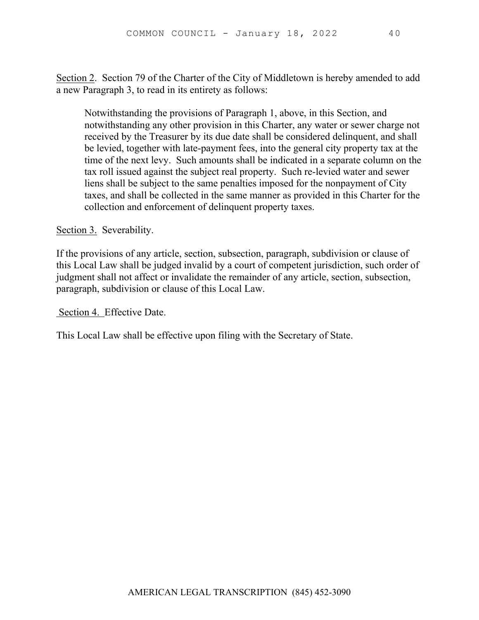Section 2. Section 79 of the Charter of the City of Middletown is hereby amended to add a new Paragraph 3, to read in its entirety as follows:

Notwithstanding the provisions of Paragraph 1, above, in this Section, and notwithstanding any other provision in this Charter, any water or sewer charge not received by the Treasurer by its due date shall be considered delinquent, and shall be levied, together with late-payment fees, into the general city property tax at the time of the next levy. Such amounts shall be indicated in a separate column on the tax roll issued against the subject real property. Such re-levied water and sewer liens shall be subject to the same penalties imposed for the nonpayment of City taxes, and shall be collected in the same manner as provided in this Charter for the collection and enforcement of delinquent property taxes.

Section 3. Severability.

If the provisions of any article, section, subsection, paragraph, subdivision or clause of this Local Law shall be judged invalid by a court of competent jurisdiction, such order of judgment shall not affect or invalidate the remainder of any article, section, subsection, paragraph, subdivision or clause of this Local Law.

Section 4. Effective Date.

This Local Law shall be effective upon filing with the Secretary of State.